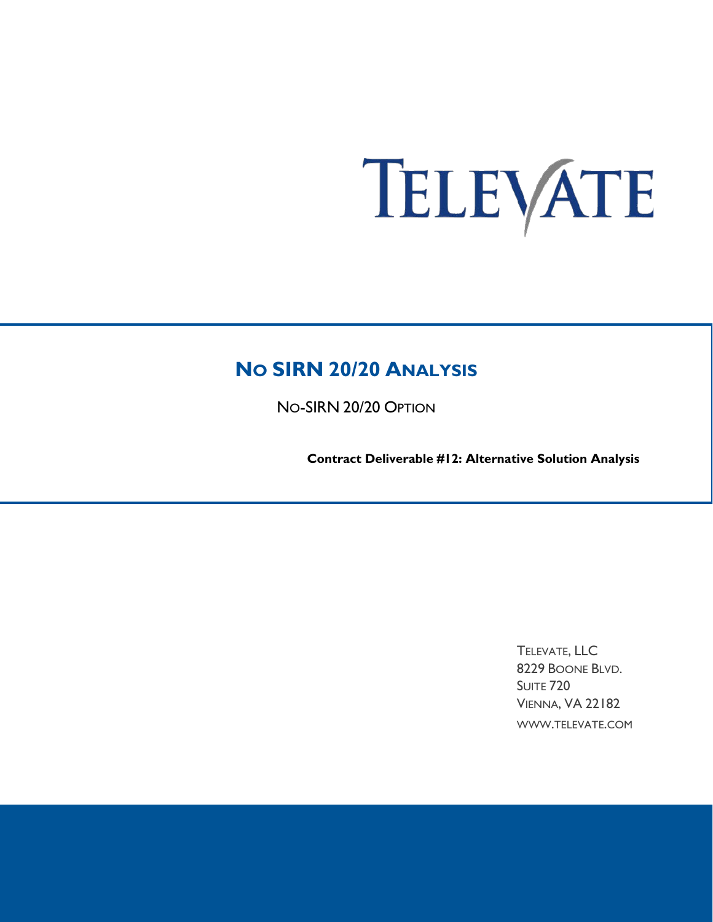# TELEVATE

# **NO SIRN 20/20 ANALYSIS**

NO-SIRN 20/20 OPTION

**Contract Deliverable #12: Alternative Solution Analysis**

TELEVATE, LLC 8229 BOONE BLVD. SUITE 720 VIENNA, VA 22182 WWW.TELEVATE.COM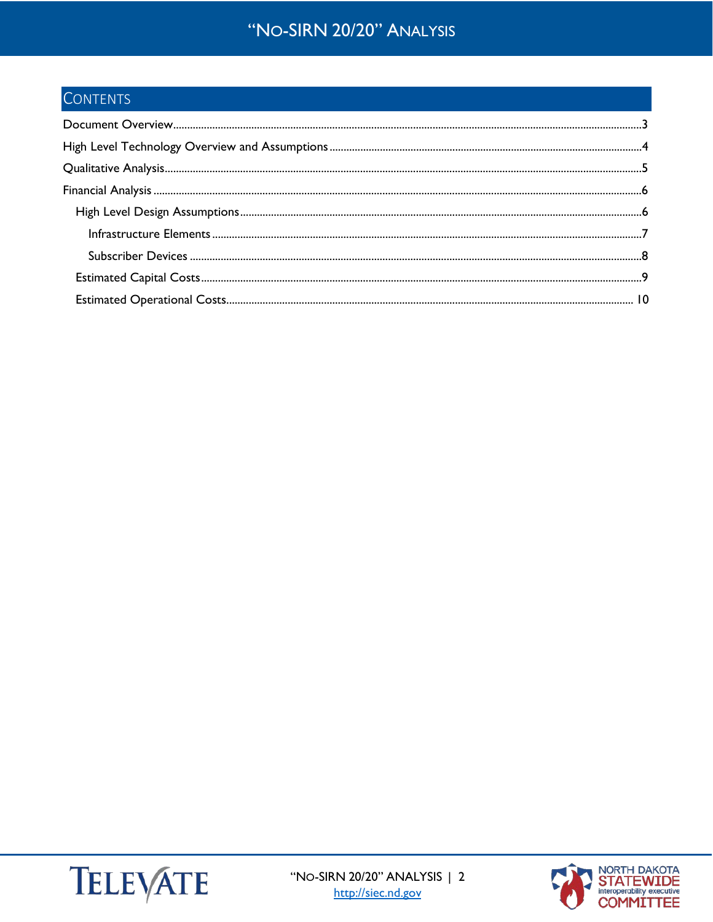# CONTENTS



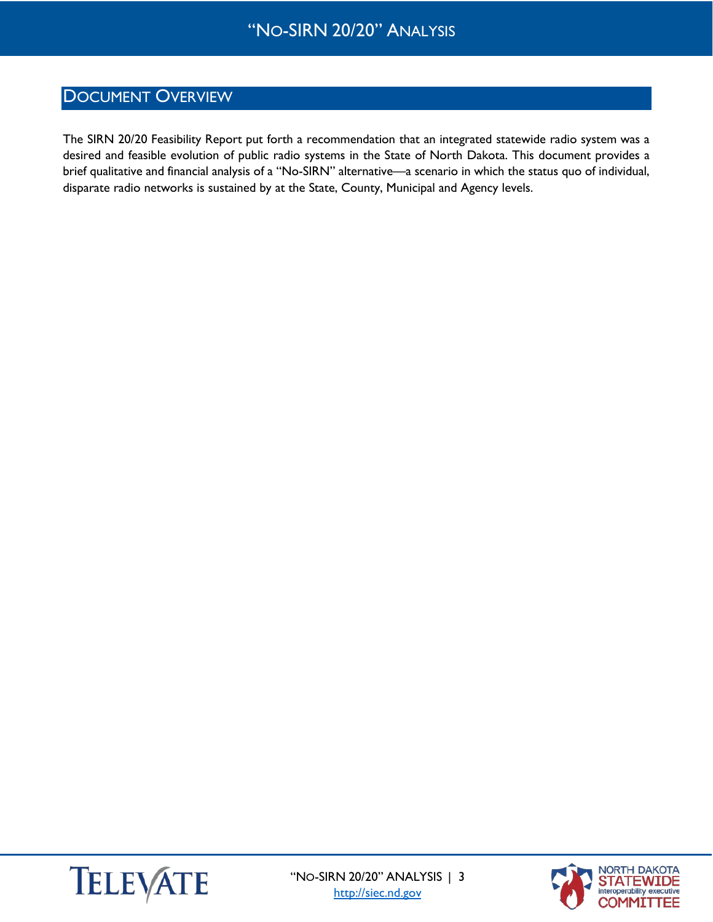## <span id="page-2-0"></span>DOCUMENT OVERVIEW

The SIRN 20/20 Feasibility Report put forth a recommendation that an integrated statewide radio system was a desired and feasible evolution of public radio systems in the State of North Dakota. This document provides a brief qualitative and financial analysis of a "No-SIRN" alternative—a scenario in which the status quo of individual, disparate radio networks is sustained by at the State, County, Municipal and Agency levels.



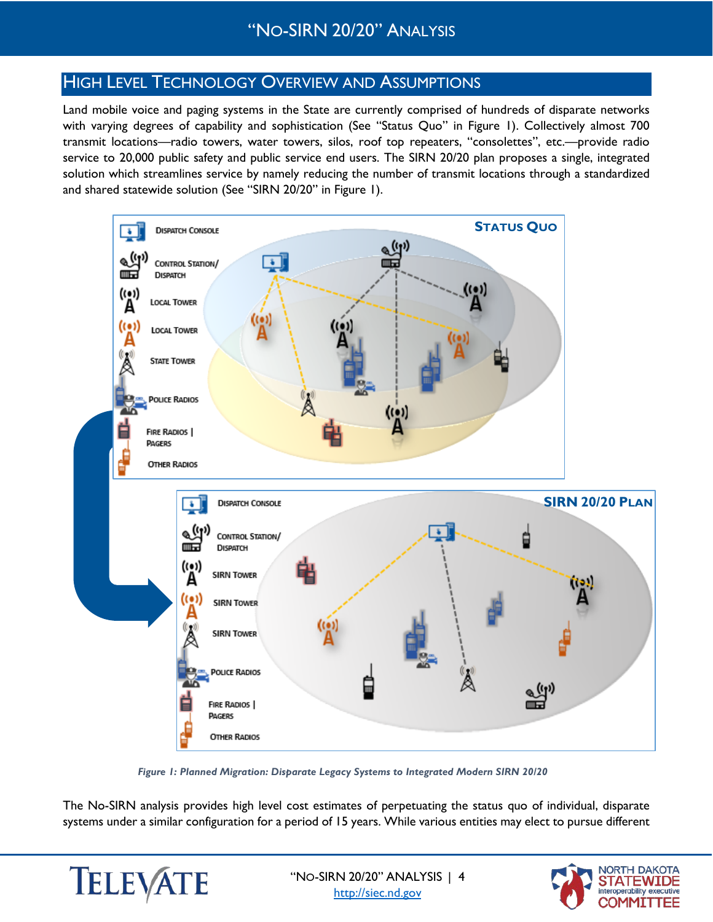## <span id="page-3-0"></span>HIGH LEVEL TECHNOLOGY OVERVIEW AND ASSUMPTIONS

Land mobile voice and paging systems in the State are currently comprised of hundreds of disparate networks with varying degrees of capability and sophistication (See "Status Quo" in Figure 1). Collectively almost 700 transmit locations—radio towers, water towers, silos, roof top repeaters, "consolettes", etc.—provide radio service to 20,000 public safety and public service end users. The SIRN 20/20 plan proposes a single, integrated solution which streamlines service by namely reducing the number of transmit locations through a standardized and shared statewide solution (See "SIRN 20/20" in Figure 1).



*Figure 1: Planned Migration: Disparate Legacy Systems to Integrated Modern SIRN 20/20*

The No-SIRN analysis provides high level cost estimates of perpetuating the status quo of individual, disparate systems under a similar configuration for a period of 15 years. While various entities may elect to pursue different



 "NO-SIRN 20/20" ANALYSIS | 4 [http://siec.nd.gov](http://siec.nd.gov/)

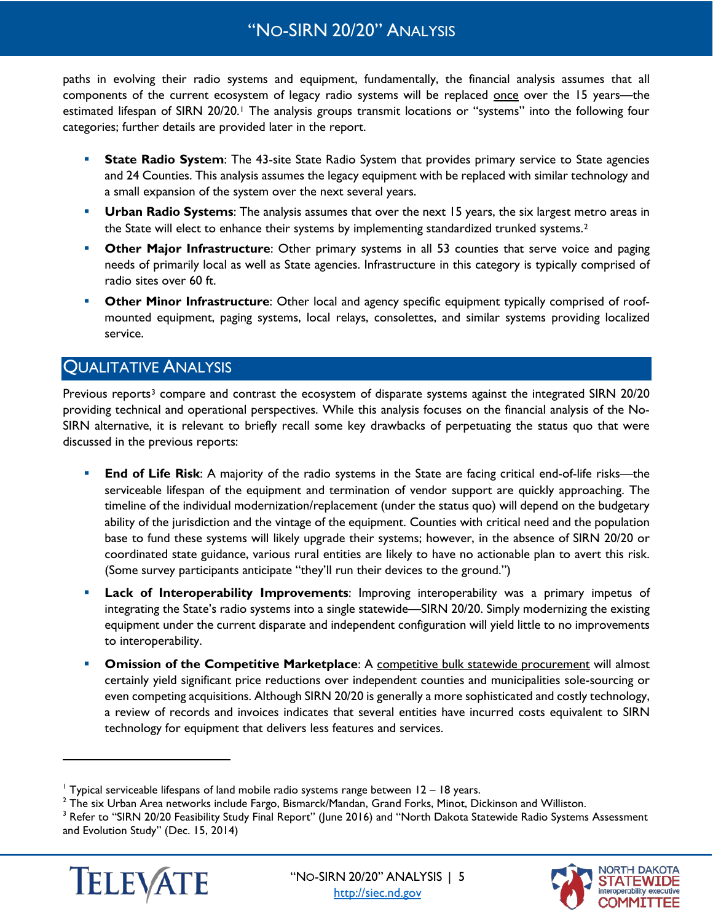paths in evolving their radio systems and equipment, fundamentally, the financial analysis assumes that all components of the current ecosystem of legacy radio systems will be replaced once over the 15 years—the estimated lifespan of SIRN 20/20.<sup>[1](#page-4-1)</sup> The analysis groups transmit locations or "systems" into the following four categories; further details are provided later in the report.

- **State Radio System**: The 43-site State Radio System that provides primary service to State agencies and 24 Counties. This analysis assumes the legacy equipment with be replaced with similar technology and a small expansion of the system over the next several years.
- **Urban Radio Systems**: The analysis assumes that over the next 15 years, the six largest metro areas in the State will elect to enhance their systems by implementing standardized trunked systems.<sup>[2](#page-4-2)</sup>
- **Dther Major Infrastructure**: Other primary systems in all 53 counties that serve voice and paging needs of primarily local as well as State agencies. Infrastructure in this category is typically comprised of radio sites over 60 ft.
- **Dther Minor Infrastructure**: Other local and agency specific equipment typically comprised of roofmounted equipment, paging systems, local relays, consolettes, and similar systems providing localized service.

## <span id="page-4-0"></span>QUALITATIVE ANALYSIS

Previous reports<sup>[3](#page-4-3)</sup> compare and contrast the ecosystem of disparate systems against the integrated SIRN 20/20 providing technical and operational perspectives. While this analysis focuses on the financial analysis of the No-SIRN alternative, it is relevant to briefly recall some key drawbacks of perpetuating the status quo that were discussed in the previous reports:

- **End of Life Risk**: A majority of the radio systems in the State are facing critical end-of-life risks—the serviceable lifespan of the equipment and termination of vendor support are quickly approaching. The timeline of the individual modernization/replacement (under the status quo) will depend on the budgetary ability of the jurisdiction and the vintage of the equipment. Counties with critical need and the population base to fund these systems will likely upgrade their systems; however, in the absence of SIRN 20/20 or coordinated state guidance, various rural entities are likely to have no actionable plan to avert this risk. (Some survey participants anticipate "they'll run their devices to the ground.")
- **Lack of Interoperability Improvements**: Improving interoperability was a primary impetus of integrating the State's radio systems into a single statewide—SIRN 20/20. Simply modernizing the existing equipment under the current disparate and independent configuration will yield little to no improvements to interoperability.
- **Omission of the Competitive Marketplace**: A competitive bulk statewide procurement will almost certainly yield significant price reductions over independent counties and municipalities sole-sourcing or even competing acquisitions. Although SIRN 20/20 is generally a more sophisticated and costly technology, a review of records and invoices indicates that several entities have incurred costs equivalent to SIRN technology for equipment that delivers less features and services.

<span id="page-4-3"></span><span id="page-4-2"></span><sup>&</sup>lt;sup>3</sup> Refer to "SIRN 20/20 Feasibility Study Final Report" (June 2016) and "North Dakota Statewide Radio Systems Assessment and Evolution Study" (Dec. 15, 2014)



 $\ddot{\phantom{a}}$ 



<span id="page-4-1"></span><sup>&</sup>lt;sup>1</sup> Typical serviceable lifespans of land mobile radio systems range between  $12 - 18$  years.

 $2$  The six Urban Area networks include Fargo, Bismarck/Mandan, Grand Forks, Minot, Dickinson and Williston.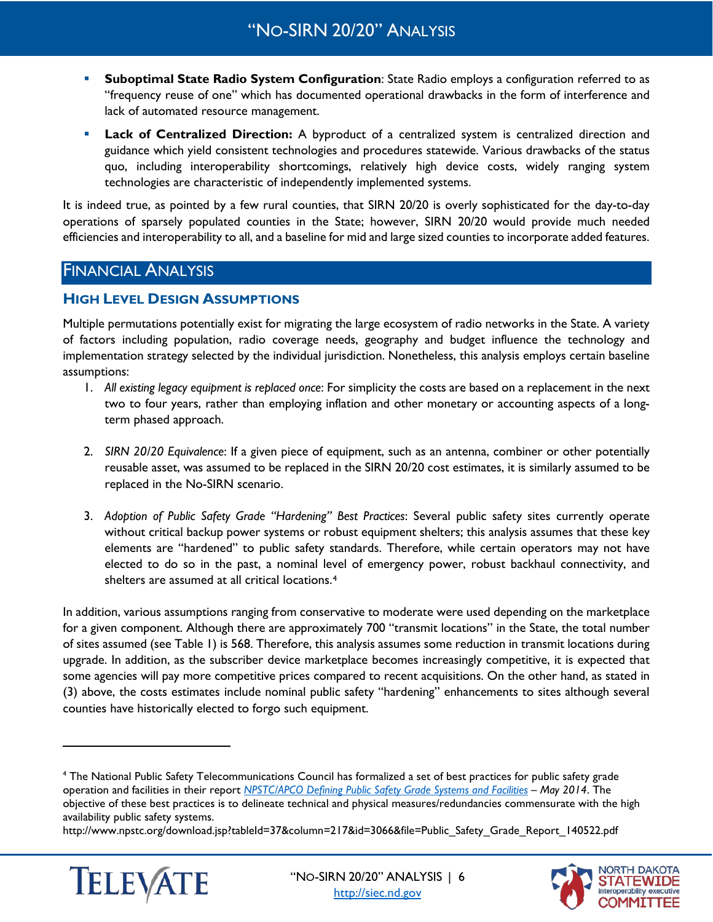- **Suboptimal State Radio System Configuration**: State Radio employs a configuration referred to as "frequency reuse of one" which has documented operational drawbacks in the form of interference and lack of automated resource management.
- **Lack of Centralized Direction:** A byproduct of a centralized system is centralized direction and guidance which yield consistent technologies and procedures statewide. Various drawbacks of the status quo, including interoperability shortcomings, relatively high device costs, widely ranging system technologies are characteristic of independently implemented systems.

It is indeed true, as pointed by a few rural counties, that SIRN 20/20 is overly sophisticated for the day-to-day operations of sparsely populated counties in the State; however, SIRN 20/20 would provide much needed efficiencies and interoperability to all, and a baseline for mid and large sized counties to incorporate added features.

## <span id="page-5-0"></span>FINANCIAL ANALYSIS

## <span id="page-5-1"></span>**HIGH LEVEL DESIGN ASSUMPTIONS**

Multiple permutations potentially exist for migrating the large ecosystem of radio networks in the State. A variety of factors including population, radio coverage needs, geography and budget influence the technology and implementation strategy selected by the individual jurisdiction. Nonetheless, this analysis employs certain baseline assumptions:

- 1. *All existing legacy equipment is replaced once*: For simplicity the costs are based on a replacement in the next two to four years, rather than employing inflation and other monetary or accounting aspects of a longterm phased approach.
- 2. *SIRN 20/20 Equivalence*: If a given piece of equipment, such as an antenna, combiner or other potentially reusable asset, was assumed to be replaced in the SIRN 20/20 cost estimates, it is similarly assumed to be replaced in the No-SIRN scenario.
- 3. *Adoption of Public Safety Grade "Hardening" Best Practices*: Several public safety sites currently operate without critical backup power systems or robust equipment shelters; this analysis assumes that these key elements are "hardened" to public safety standards. Therefore, while certain operators may not have elected to do so in the past, a nominal level of emergency power, robust backhaul connectivity, and shelters are assumed at all critical locations.[4](#page-5-2)

In addition, various assumptions ranging from conservative to moderate were used depending on the marketplace for a given component. Although there are approximately 700 "transmit locations" in the State, the total number of sites assumed (see Table 1) is 568. Therefore, this analysis assumes some reduction in transmit locations during upgrade. In addition, as the subscriber device marketplace becomes increasingly competitive, it is expected that some agencies will pay more competitive prices compared to recent acquisitions. On the other hand, as stated in (3) above, the costs estimates include nominal public safety "hardening" enhancements to sites although several counties have historically elected to forgo such equipment.

http://www.npstc.org/download.jsp?tableId=37&column=217&id=3066&file=Public\_Safety\_Grade\_Report\_140522.pdf



 $\ddot{\phantom{a}}$ 



<span id="page-5-2"></span><sup>4</sup> The National Public Safety Telecommunications Council has formalized a set of best practices for public safety grade operation and facilities in their report *[NPSTC/APCO Defining Public Safety Grade Systems and Facilities](http://www.npstc.org/download.jsp?tableId=37&column=217&id=3066&file=Public_Safety_Grade_Report_140522.pdf) – May 2014*. The objective of these best practices is to delineate technical and physical measures/redundancies commensurate with the high availability public safety systems.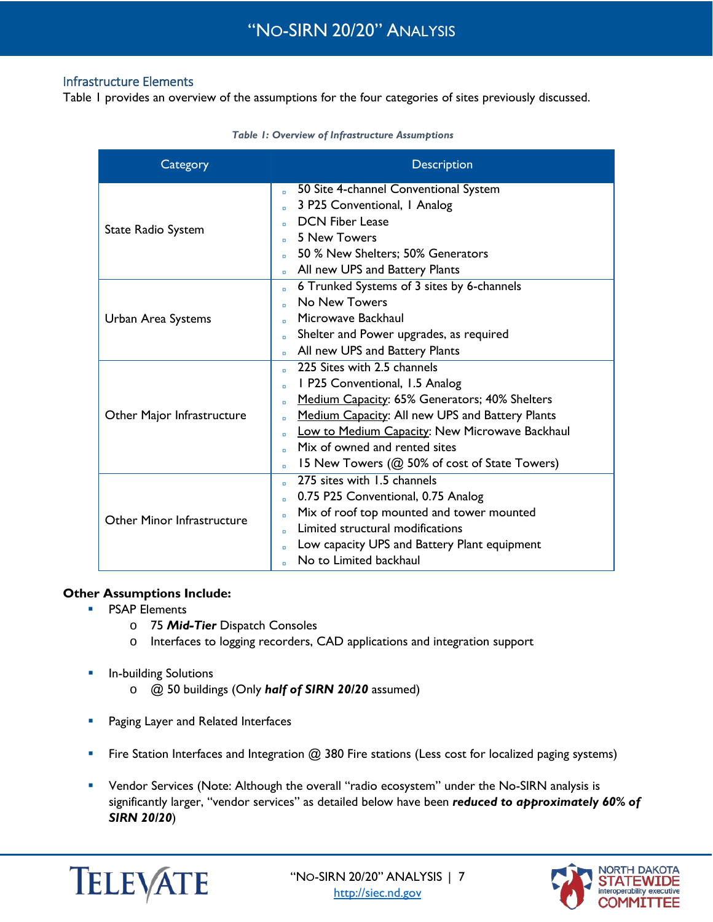### <span id="page-6-0"></span>Infrastructure Elements

Table 1 provides an overview of the assumptions for the four categories of sites previously discussed.

| Category                          | <b>Description</b>                                                                                                                                                                                                                                                                                                                                                   |
|-----------------------------------|----------------------------------------------------------------------------------------------------------------------------------------------------------------------------------------------------------------------------------------------------------------------------------------------------------------------------------------------------------------------|
| <b>State Radio System</b>         | 50 Site 4-channel Conventional System<br>$\blacksquare$<br>3 P25 Conventional, I Analog<br>$\Box$<br><b>DCN Fiber Lease</b><br>$\blacksquare$<br>5 New Towers<br>$\blacksquare$<br>50 % New Shelters; 50% Generators<br>All new UPS and Battery Plants<br>$\Box$                                                                                                     |
| Urban Area Systems                | 6 Trunked Systems of 3 sites by 6-channels<br>$\blacksquare$<br>No New Towers<br>Microwave Backhaul<br>$\blacksquare$<br>Shelter and Power upgrades, as required<br>n<br>All new UPS and Battery Plants<br>$\Box$                                                                                                                                                    |
| Other Major Infrastructure        | 225 Sites with 2.5 channels<br>I P25 Conventional, I.5 Analog<br>$\Box$<br>Medium Capacity: 65% Generators; 40% Shelters<br>$\Box$<br>Medium Capacity: All new UPS and Battery Plants<br>$\blacksquare$<br>Low to Medium Capacity: New Microwave Backhaul<br>$\Box$<br>Mix of owned and rented sites<br>n<br>15 New Towers (@ 50% of cost of State Towers)<br>$\Box$ |
| <b>Other Minor Infrastructure</b> | 275 sites with 1.5 channels<br>$\blacksquare$<br>0.75 P25 Conventional, 0.75 Analog<br>$\Box$<br>Mix of roof top mounted and tower mounted<br>$\Box$<br>Limited structural modifications<br>'n<br>Low capacity UPS and Battery Plant equipment<br>$\Box$<br>No to Limited backhaul                                                                                   |

#### *Table 1: Overview of Infrastructure Assumptions*

#### **Other Assumptions Include:**

- **PSAP Elements** 
	- o 75 *Mid-Tier* Dispatch Consoles
	- o Interfaces to logging recorders, CAD applications and integration support
- **In-building Solutions** 
	- o @ 50 buildings (Only *half of SIRN 20/20* assumed)
- **Paging Layer and Related Interfaces**
- **Fire Station Interfaces and Integration @ 380 Fire stations (Less cost for localized paging systems)**
- Vendor Services (Note: Although the overall "radio ecosystem" under the No-SIRN analysis is significantly larger, "vendor services" as detailed below have been *reduced to approximately 60% of SIRN 20/20*)



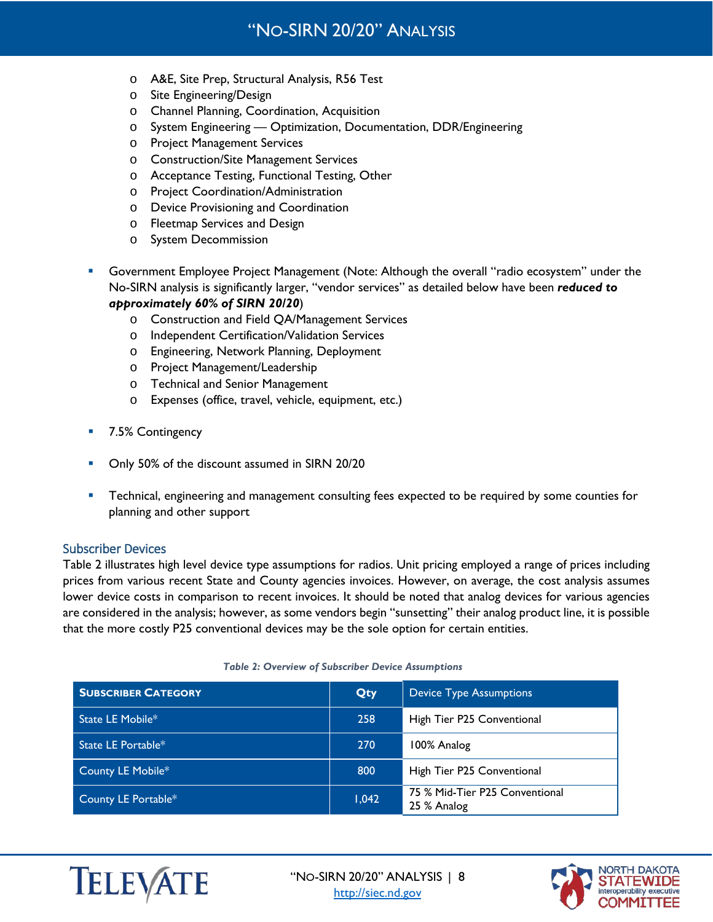- o A&E, Site Prep, Structural Analysis, R56 Test
- o Site Engineering/Design
- o Channel Planning, Coordination, Acquisition
- o System Engineering Optimization, Documentation, DDR/Engineering
- o Project Management Services
- o Construction/Site Management Services
- o Acceptance Testing, Functional Testing, Other
- o Project Coordination/Administration
- o Device Provisioning and Coordination
- o Fleetmap Services and Design
- o System Decommission
- Government Employee Project Management (Note: Although the overall "radio ecosystem" under the No-SIRN analysis is significantly larger, "vendor services" as detailed below have been *reduced to approximately 60% of SIRN 20/20*)
	- o Construction and Field QA/Management Services
	- o Independent Certification/Validation Services
	- o Engineering, Network Planning, Deployment
	- o Project Management/Leadership
	- o Technical and Senior Management
	- o Expenses (office, travel, vehicle, equipment, etc.)
- 7.5% Contingency
- Only 50% of the discount assumed in SIRN 20/20
- **Technical, engineering and management consulting fees expected to be required by some counties for** planning and other support

#### <span id="page-7-0"></span>Subscriber Devices

Table 2 illustrates high level device type assumptions for radios. Unit pricing employed a range of prices including prices from various recent State and County agencies invoices. However, on average, the cost analysis assumes lower device costs in comparison to recent invoices. It should be noted that analog devices for various agencies are considered in the analysis; however, as some vendors begin "sunsetting" their analog product line, it is possible that the more costly P25 conventional devices may be the sole option for certain entities.

| <b>SUBSCRIBER CATEGORY</b> | <b>Device Type Assumptions</b><br>Qty |                                               |
|----------------------------|---------------------------------------|-----------------------------------------------|
| State LE Mobile*           | 258                                   | High Tier P25 Conventional                    |
| State LE Portable*         | 270                                   | 100% Analog                                   |
| County LE Mobile*          | 800                                   | High Tier P25 Conventional                    |
| <b>County LE Portable*</b> | 1,042                                 | 75 % Mid-Tier P25 Conventional<br>25 % Analog |

#### *Table 2: Overview of Subscriber Device Assumptions*



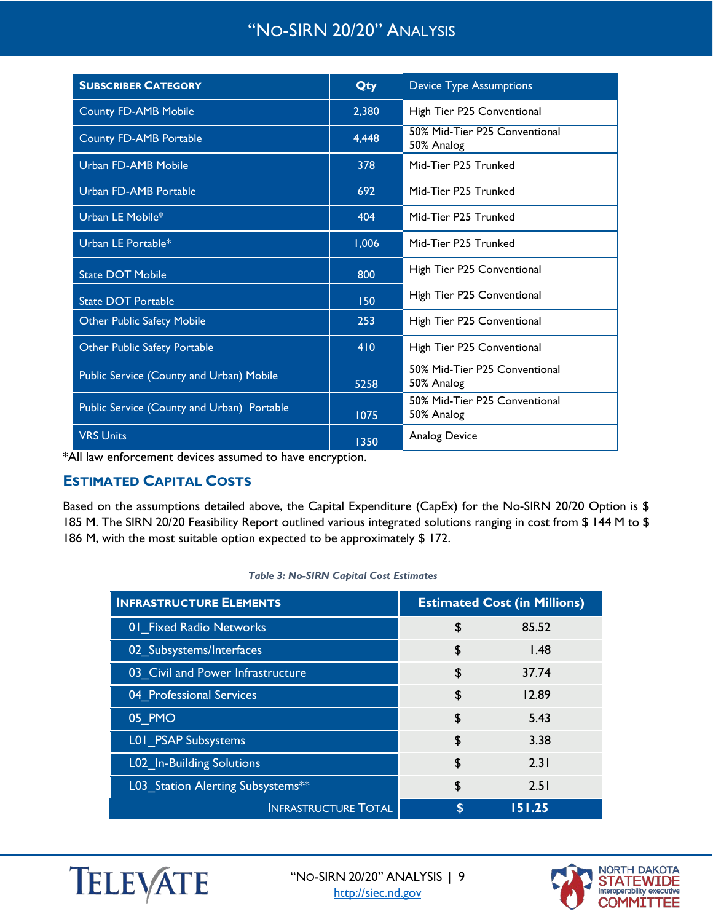| <b>SUBSCRIBER CATEGORY</b>                 | Qty   | <b>Device Type Assumptions</b>              |  |  |
|--------------------------------------------|-------|---------------------------------------------|--|--|
| <b>County FD-AMB Mobile</b>                | 2,380 | High Tier P25 Conventional                  |  |  |
| County FD-AMB Portable                     | 4,448 | 50% Mid-Tier P25 Conventional<br>50% Analog |  |  |
| Urban FD-AMB Mobile                        | 378   | Mid-Tier P25 Trunked                        |  |  |
| Urban FD-AMB Portable                      | 692   | Mid-Tier P25 Trunked                        |  |  |
| Urban LE Mobile*                           | 404   | Mid-Tier P25 Trunked                        |  |  |
| Urban LE Portable*                         | 1,006 | Mid-Tier P25 Trunked                        |  |  |
| <b>State DOT Mobile</b>                    | 800   | High Tier P25 Conventional                  |  |  |
| <b>State DOT Portable</b>                  | 150   | High Tier P25 Conventional                  |  |  |
| <b>Other Public Safety Mobile</b>          | 253   | High Tier P25 Conventional                  |  |  |
| Other Public Safety Portable               | 410   | High Tier P25 Conventional                  |  |  |
| Public Service (County and Urban) Mobile   | 5258  | 50% Mid-Tier P25 Conventional<br>50% Analog |  |  |
| Public Service (County and Urban) Portable | 1075  | 50% Mid-Tier P25 Conventional<br>50% Analog |  |  |
| <b>VRS Units</b>                           | 1350  | <b>Analog Device</b>                        |  |  |

\*All law enforcement devices assumed to have encryption.

## <span id="page-8-0"></span>**ESTIMATED CAPITAL COSTS**

Based on the assumptions detailed above, the Capital Expenditure (CapEx) for the No-SIRN 20/20 Option is \$ 185 M. The SIRN 20/20 Feasibility Report outlined various integrated solutions ranging in cost from \$ 144 M to \$ 186 M, with the most suitable option expected to be approximately \$ 172.

#### *Table 3: No-SIRN Capital Cost Estimates*

| <b>INFRASTRUCTURE ELEMENTS</b>    | <b>Estimated Cost (in Millions)</b> |        |
|-----------------------------------|-------------------------------------|--------|
| 01 Fixed Radio Networks           | \$                                  | 85.52  |
| 02 Subsystems/Interfaces          | \$                                  | 1.48   |
| 03 Civil and Power Infrastructure | \$                                  | 37.74  |
| 04 Professional Services          | \$                                  | 12.89  |
| 05 PMO                            | \$                                  | 5.43   |
| L01 PSAP Subsystems               | \$                                  | 3.38   |
| <b>L02_In-Building Solutions</b>  | \$                                  | 2.31   |
| L03 Station Alerting Subsystems** | \$                                  | 2.51   |
| <b>INFRASTRUCTURE TOTAL</b>       |                                     | 151.25 |